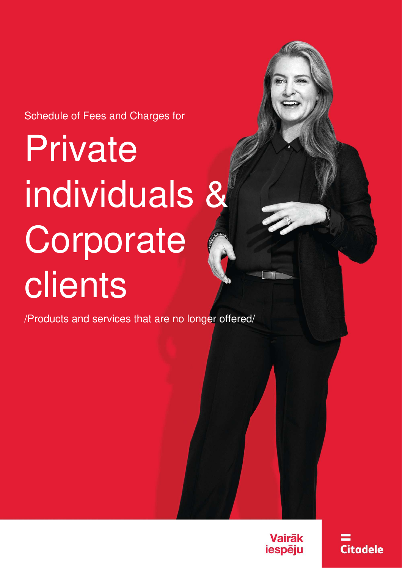Schedule of Fees and Charges for

**Private** individuals & **Corporate** clients

/Products and services that are no longer offered/

Vairāk **iespēju** 

**Citadele**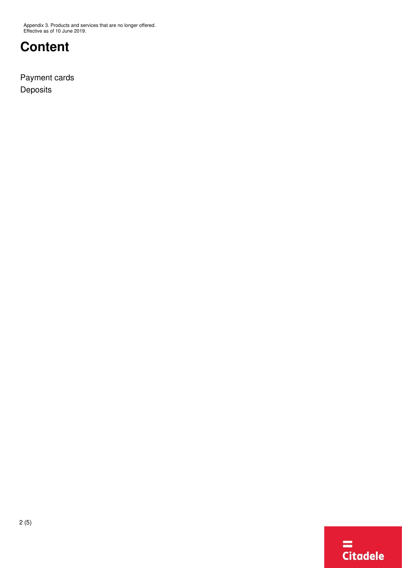<span id="page-1-1"></span>Appendix 3. Products and services that are no longer offered. Effective as of 10 June 2019.

# <span id="page-1-0"></span>**Content**

[Payment cards](#page-1-0)

<span id="page-1-2"></span>[Deposits](#page-2-0)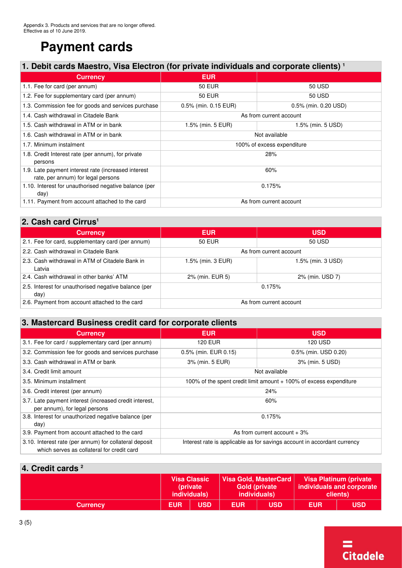# **Payment cards**

#### **1. Debit cards Maestro, Visa Electron (for private individuals and corporate clients) [1](#page-2-1)**

| <b>Currency</b>                                                                           | <b>EUR</b>                 |                         |  |
|-------------------------------------------------------------------------------------------|----------------------------|-------------------------|--|
| 1.1. Fee for card (per annum)                                                             | <b>50 EUR</b>              | 50 USD                  |  |
| 1.2. Fee for supplementary card (per annum)                                               | <b>50 EUR</b>              | 50 USD                  |  |
| 1.3. Commission fee for goods and services purchase                                       | 0.5% (min. 0.15 EUR)       | 0.5% (min. 0.20 USD)    |  |
| 1.4. Cash withdrawal in Citadele Bank                                                     | As from current account    |                         |  |
| 1.5. Cash withdrawal in ATM or in bank                                                    | 1.5% (min. 5 EUR)          | $1.5\%$ (min. 5 USD)    |  |
| 1.6. Cash withdrawal in ATM or in bank                                                    | Not available              |                         |  |
| 1.7. Minimum instalment                                                                   | 100% of excess expenditure |                         |  |
| 1.8. Credit Interest rate (per annum), for private<br>persons                             | 28%                        |                         |  |
| 1.9. Late payment interest rate (increased interest<br>rate, per annum) for legal persons | 60%                        |                         |  |
| 1.10. Interest for unauthorised negative balance (per<br>day)                             | 0.175%                     |                         |  |
| 1.11. Payment from account attached to the card                                           |                            | As from current account |  |

### <span id="page-2-2"></span>**2. Cash card Cirrus[1](#page-2-1)**

<span id="page-2-5"></span><span id="page-2-3"></span>

| <b>Currency</b>                                              | <b>EUR</b>              | <b>USD</b>              |  |
|--------------------------------------------------------------|-------------------------|-------------------------|--|
| 2.1. Fee for card, supplementary card (per annum)            | 50 EUR                  | 50 USD                  |  |
| 2.2. Cash withdrawal in Citadele Bank                        | As from current account |                         |  |
| 2.3. Cash withdrawal in ATM of Citadele Bank in<br>Latvia    | 1.5% (min. 3 EUR)       | 1.5% (min. 3 USD)       |  |
| 2.4. Cash withdrawal in other banks' ATM                     | 2% (min. EUR 5)         | 2% (min. USD 7)         |  |
| 2.5. Interest for unauthorised negative balance (per<br>day) |                         | 0.175%                  |  |
| 2.6. Payment from account attached to the card               |                         | As from current account |  |

### **3. Mastercard Business credit card for corporate clients**

| <b>Currency</b>                                                                                      | <b>EUR</b>                                                               | <b>USD</b>           |  |
|------------------------------------------------------------------------------------------------------|--------------------------------------------------------------------------|----------------------|--|
| 3.1. Fee for card / supplementary card (per annum)                                                   | 120 EUR                                                                  | 120 USD              |  |
| 3.2. Commission fee for goods and services purchase                                                  | 0.5% (min. EUR 0.15)                                                     | 0.5% (min. USD 0.20) |  |
| 3.3. Cash withdrawal in ATM or bank                                                                  | 3% (min. 5 EUR)                                                          | 3% (min. 5 USD)      |  |
| 3.4. Credit limit amount                                                                             | Not available                                                            |                      |  |
| 3.5. Minimum installment                                                                             | 100% of the spent credit limit amount + 100% of excess expenditure       |                      |  |
| 3.6. Credit interest (per annum)                                                                     | 24%                                                                      |                      |  |
| 3.7. Late payment interest (increased credit interest,<br>per annum), for legal persons              | 60%                                                                      |                      |  |
| 3.8. Interest for unauthorized negative balance (per<br>day)                                         | 0.175%                                                                   |                      |  |
| 3.9. Payment from account attached to the card                                                       | As from current account $+3\%$                                           |                      |  |
| 3.10. Interest rate (per annum) for collateral deposit<br>which serves as collateral for credit card | Interest rate is applicable as for savings account in accordant currency |                      |  |

### <span id="page-2-1"></span>**4. Credit cards [2](#page-2-1)**

<span id="page-2-0"></span>

|                 |            | <b>Visa Classic</b><br>(private)<br>individuals) |            | Visa Gold, MasterCard<br>Gold (private<br>individuals) |            | Visa Platinum (private<br>individuals and corporate<br>clients) |
|-----------------|------------|--------------------------------------------------|------------|--------------------------------------------------------|------------|-----------------------------------------------------------------|
| <b>Currency</b> | <b>EUR</b> | <b>USD</b>                                       | <b>EUR</b> | <b>USD</b>                                             | <b>EUR</b> | <b>USD</b>                                                      |

<span id="page-2-6"></span><span id="page-2-4"></span>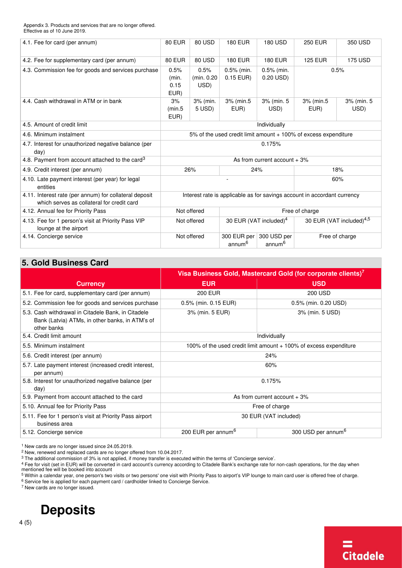Appendix 3. Products and services that are no longer offered. Effective as of 10 June 2019.

<span id="page-3-1"></span>

| 4.1. Fee for card (per annum)                                                                        | <b>80 EUR</b>                                                            | 80 USD                     | <b>180 EUR</b>                     | <b>180 USD</b>                    | <b>250 EUR</b>                       | 350 USD            |
|------------------------------------------------------------------------------------------------------|--------------------------------------------------------------------------|----------------------------|------------------------------------|-----------------------------------|--------------------------------------|--------------------|
| 4.2. Fee for supplementary card (per annum)                                                          | <b>80 EUR</b>                                                            | 80 USD                     | <b>180 EUR</b>                     | <b>180 EUR</b>                    | <b>125 EUR</b>                       | <b>175 USD</b>     |
| 4.3. Commission fee for goods and services purchase                                                  | 0.5%<br>(min.<br>0.15<br>EUR)                                            | 0.5%<br>(min. 0.20<br>USD) | 0.5% (min.<br>$0.15$ EUR)          | $0.5%$ (min.<br>0.20 USD)         |                                      | 0.5%               |
| 4.4. Cash withdrawal in ATM or in bank                                                               | 3%<br>(min.5)<br>EUR)                                                    | 3% (min.<br>5 USD)         | 3% (min.5<br>EUR)                  | 3% (min. 5<br>USD)                | 3% (min.5<br>EUR)                    | 3% (min. 5<br>USD) |
| 4.5. Amount of credit limit                                                                          | Individually                                                             |                            |                                    |                                   |                                      |                    |
| 4.6. Minimum instalment                                                                              | 5% of the used credit limit amount + 100% of excess expenditure          |                            |                                    |                                   |                                      |                    |
| 4.7. Interest for unauthorized negative balance (per<br>day)                                         | 0.175%                                                                   |                            |                                    |                                   |                                      |                    |
| 4.8. Payment from account attached to the card <sup>3</sup>                                          | As from current account $+3\%$                                           |                            |                                    |                                   |                                      |                    |
| 4.9. Credit interest (per annum)                                                                     | 26%<br>24%<br>18%                                                        |                            |                                    |                                   |                                      |                    |
| 4.10. Late payment interest (per year) for legal<br>entities                                         | 60%                                                                      |                            |                                    |                                   |                                      |                    |
| 4.11. Interest rate (per annum) for collateral deposit<br>which serves as collateral for credit card | Interest rate is applicable as for savings account in accordant currency |                            |                                    |                                   |                                      |                    |
| 4.12. Annual fee for Priority Pass                                                                   | Not offered<br>Free of charge                                            |                            |                                    |                                   |                                      |                    |
| 4.13. Fee for 1 person's visit at Priority Pass VIP<br>lounge at the airport                         | Not offered                                                              |                            | 30 EUR (VAT included) <sup>4</sup> |                                   | 30 EUR (VAT included) <sup>4,5</sup> |                    |
| 4.14. Concierge service                                                                              |                                                                          | Not offered                | 300 EUR per<br>annum <sup>6</sup>  | 300 USD per<br>annum <sup>6</sup> |                                      | Free of charge     |

#### **5. Gold Business Card**

<span id="page-3-0"></span>

|                                                                                                                      | Visa Business Gold, Mastercard Gold (for corporate clients) <sup>7</sup> |                                |  |  |
|----------------------------------------------------------------------------------------------------------------------|--------------------------------------------------------------------------|--------------------------------|--|--|
| <b>Currency</b>                                                                                                      | <b>EUR</b>                                                               | <b>USD</b>                     |  |  |
| 5.1. Fee for card, supplementary card (per annum)                                                                    | 200 EUR                                                                  | <b>200 USD</b>                 |  |  |
| 5.2. Commission fee for goods and services purchase                                                                  | 0.5% (min. 0.15 EUR)                                                     | 0.5% (min. 0.20 USD)           |  |  |
| 5.3. Cash withdrawal in Citadele Bank, in Citadele<br>Bank (Latvia) ATMs, in other banks, in ATM's of<br>other banks | 3% (min. 5 EUR)                                                          | 3% (min. 5 USD)                |  |  |
| 5.4. Credit limit amount                                                                                             | Individually                                                             |                                |  |  |
| 5.5. Minimum instalment                                                                                              | 100% of the used credit limit amount + 100% of excess expenditure        |                                |  |  |
| 5.6. Credit interest (per annum)                                                                                     | 24%                                                                      |                                |  |  |
| 5.7. Late payment interest (increased credit interest,<br>per annum)                                                 | 60%                                                                      |                                |  |  |
| 5.8. Interest for unauthorized negative balance (per<br>day)                                                         | 0.175%                                                                   |                                |  |  |
| 5.9. Payment from account attached to the card                                                                       | As from current account $+3\%$                                           |                                |  |  |
| 5.10. Annual fee for Priority Pass                                                                                   | Free of charge                                                           |                                |  |  |
| 5.11. Fee for 1 person's visit at Priority Pass airport<br>business area                                             | 30 EUR (VAT included)                                                    |                                |  |  |
| 5.12. Concierge service                                                                                              | 200 EUR per annum <sup>6</sup>                                           | 300 USD per annum <sup>6</sup> |  |  |

[1](#page-1-1) New cards are no longer issued since 24.05.2019.

[2](#page-1-2) New, renewed and replaced cards are no longer offered from 10.04.2017.

[3](#page-2-2) The additional commission of 3% is not applied, if money transfer is executed within the terms of 'Concierge service'.

<sup>4</sup> Fee for visit (set in EUR) will be converted in card account's currency according to Citadele Bank's exchange rate for non-cash operations, for the day when<br>mentioned fee will be booked into account

[5](#page-2-4) Within a calendar year, one person's two visits or two persons' one visit with Priority Pass to airport's VIP lounge to main card user is offered free of charge.

[6](#page-2-5) Service fee is applied for each payment card / cardholder linked to Concierge Service.

[7](#page-2-6) New cards are no longer issued.